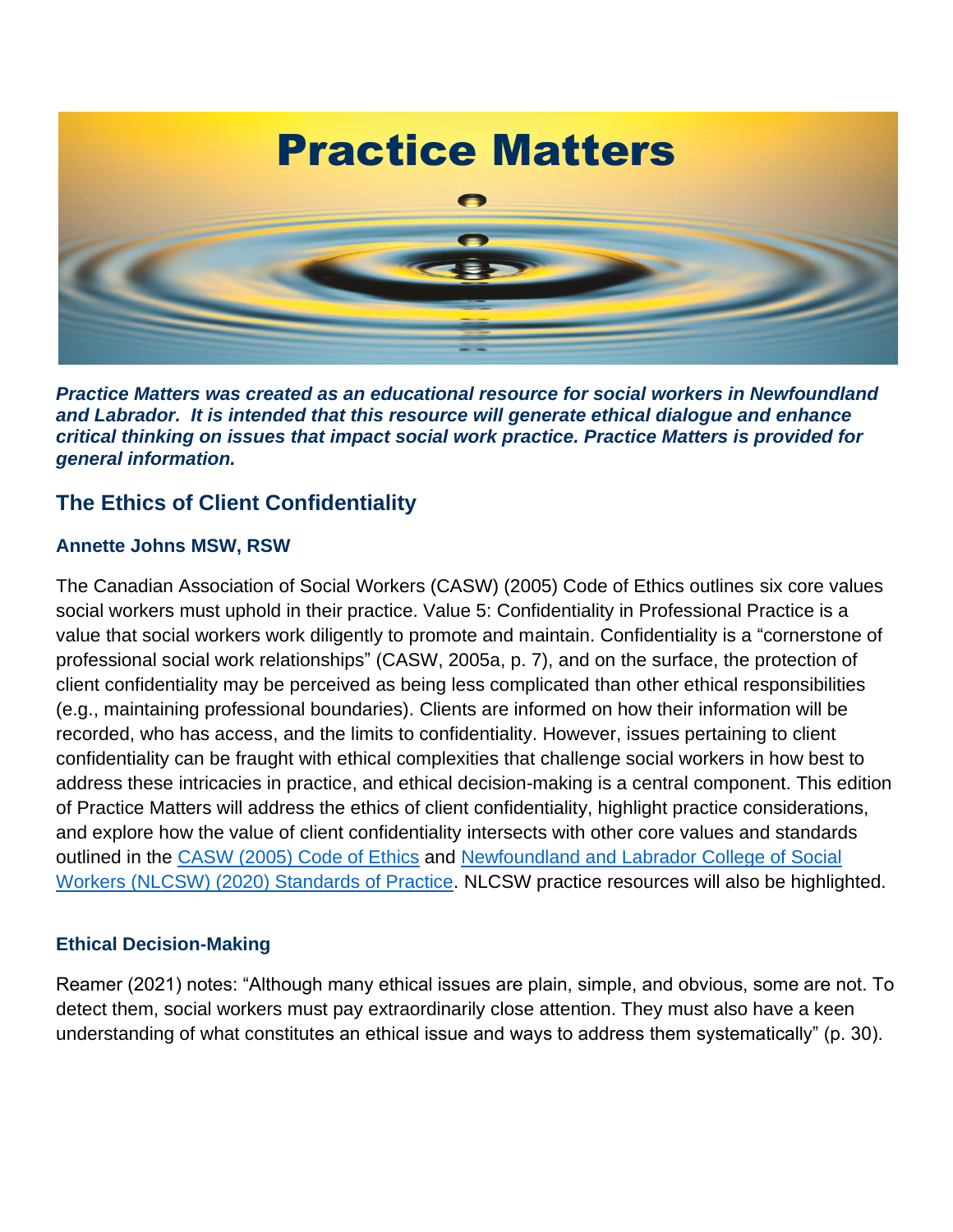

*Practice Matters was created as an educational resource for social workers in Newfoundland and Labrador. It is intended that this resource will generate ethical dialogue and enhance critical thinking on issues that impact social work practice. Practice Matters is provided for general information.*

#### **The Ethics of Client Confidentiality**

#### **Annette Johns MSW, RSW**

The Canadian Association of Social Workers (CASW) (2005) Code of Ethics outlines six core values social workers must uphold in their practice. Value 5: Confidentiality in Professional Practice is a value that social workers work diligently to promote and maintain. Confidentiality is a "cornerstone of professional social work relationships" (CASW, 2005a, p. 7), and on the surface, the protection of client confidentiality may be perceived as being less complicated than other ethical responsibilities (e.g., maintaining professional boundaries). Clients are informed on how their information will be recorded, who has access, and the limits to confidentiality. However, issues pertaining to client confidentiality can be fraught with ethical complexities that challenge social workers in how best to address these intricacies in practice, and ethical decision-making is a central component. This edition of Practice Matters will address the ethics of client confidentiality, highlight practice considerations, and explore how the value of client confidentiality intersects with other core values and standards outlined in the [CASW \(2005\) Code of Ethics](https://nlcsw.ca/sites/default/files/inline-files/CASW_Code_of_Ethics_2005.pdf) and Newfoundland and Labrador College of Social [Workers \(NLCSW\) \(2020\) Standards of Practice.](https://nlcsw.ca/sites/default/files/inline-files/Standards_of_Practice_for_Social_Workers_in_NL.pdf) NLCSW practice resources will also be highlighted.

#### **Ethical Decision-Making**

Reamer (2021) notes: "Although many ethical issues are plain, simple, and obvious, some are not. To detect them, social workers must pay extraordinarily close attention. They must also have a keen understanding of what constitutes an ethical issue and ways to address them systematically" (p. 30).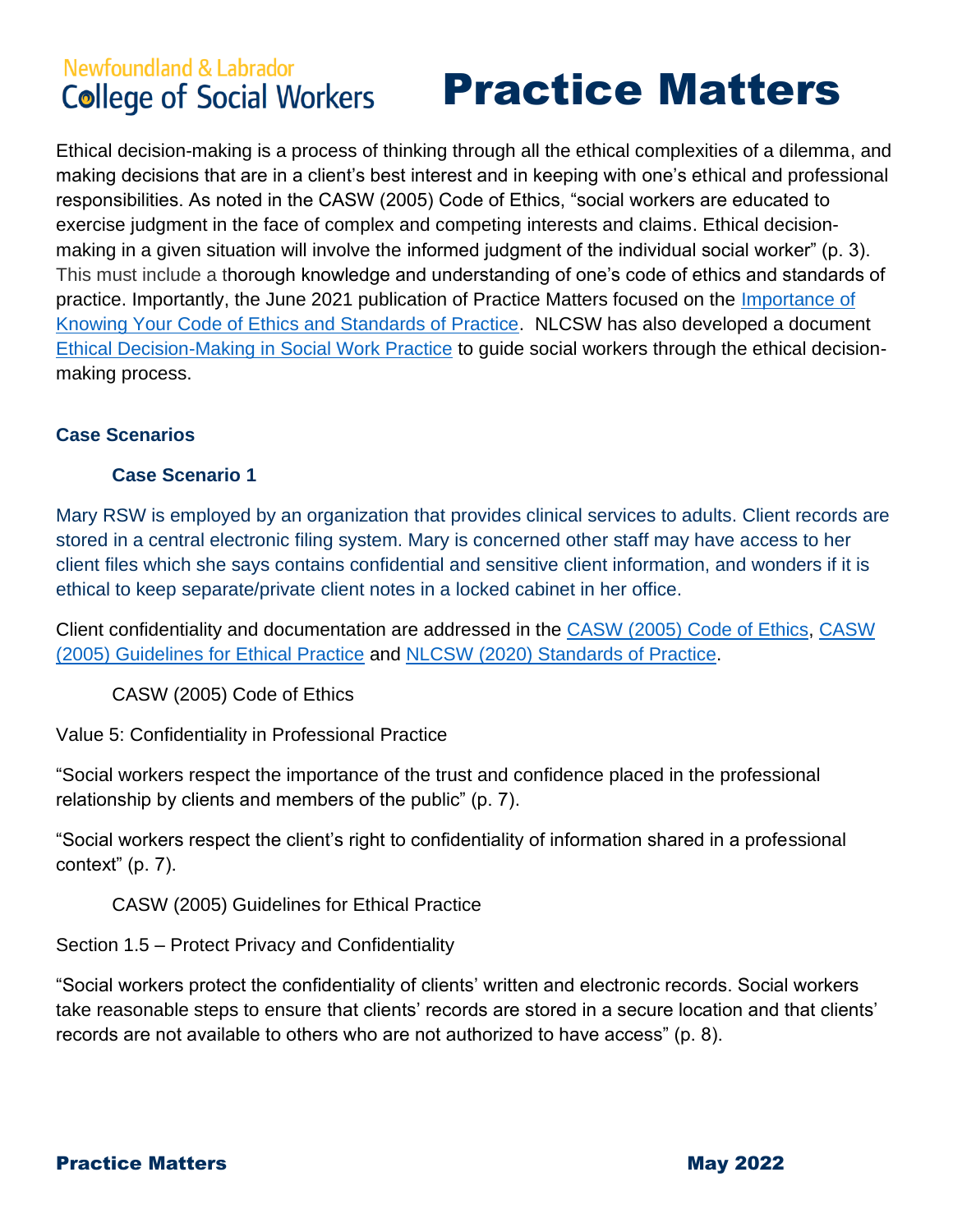## Practice Matters

Ethical decision-making is a process of thinking through all the ethical complexities of a dilemma, and making decisions that are in a client's best interest and in keeping with one's ethical and professional responsibilities. As noted in the CASW (2005) Code of Ethics, "social workers are educated to exercise judgment in the face of complex and competing interests and claims. Ethical decisionmaking in a given situation will involve the informed judgment of the individual social worker" (p. 3). This must include a thorough knowledge and understanding of one's code of ethics and standards of practice. Importantly, the June 2021 publication of Practice Matters focused on the *Importance of* [Knowing Your Code of Ethics and Standards of Practice.](https://nlcsw.ca/sites/default/files/inline-files/The_Importance_of_Knowing_the_Code_and_Standards_of_Practice.pdf) NLCSW has also developed a document [Ethical Decision-Making in Social Work Practice](https://nlcsw.ca/sites/default/files/inline-files/Ethical_Decision_Making_in_Social_Work_Practice_Updated_August_2021_0.pdf) to guide social workers through the ethical decisionmaking process.

#### **Case Scenarios**

#### **Case Scenario 1**

Mary RSW is employed by an organization that provides clinical services to adults. Client records are stored in a central electronic filing system. Mary is concerned other staff may have access to her client files which she says contains confidential and sensitive client information, and wonders if it is ethical to keep separate/private client notes in a locked cabinet in her office.

Client confidentiality and documentation are addressed in the [CASW \(2005\) Code of Ethics,](https://nlcsw.ca/sites/default/files/inline-files/CASW_Code_of_Ethics_2005.pdf) [CASW](https://nlcsw.ca/sites/default/files/inline-files/CASW_Guidelines_for_Ethical_Practice_2005.pdf)  [\(2005\) Guidelines for Ethical Practice](https://nlcsw.ca/sites/default/files/inline-files/CASW_Guidelines_for_Ethical_Practice_2005.pdf) and [NLCSW \(2020\) Standards of Practice.](https://nlcsw.ca/sites/default/files/inline-files/Standards_of_Practice_for_Social_Workers_in_NL.pdf)

CASW (2005) Code of Ethics

Value 5: Confidentiality in Professional Practice

"Social workers respect the importance of the trust and confidence placed in the professional relationship by clients and members of the public" (p. 7).

"Social workers respect the client's right to confidentiality of information shared in a professional context" (p. 7).

CASW (2005) Guidelines for Ethical Practice

Section 1.5 – Protect Privacy and Confidentiality

"Social workers protect the confidentiality of clients' written and electronic records. Social workers take reasonable steps to ensure that clients' records are stored in a secure location and that clients' records are not available to others who are not authorized to have access" (p. 8).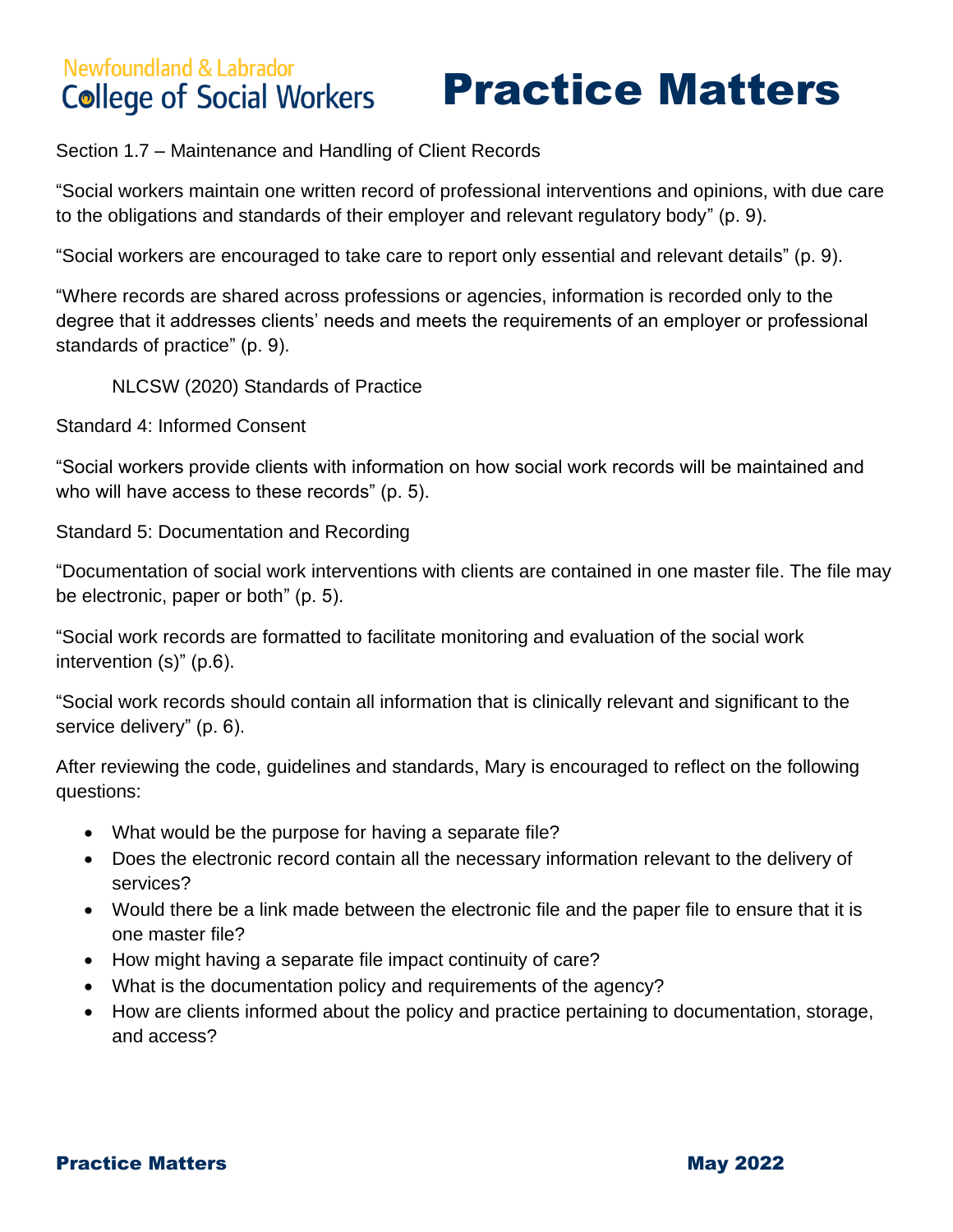#### **Newfoundland & Labrador** Practice Matters **College of Social Workers**

Section 1.7 – Maintenance and Handling of Client Records

"Social workers maintain one written record of professional interventions and opinions, with due care to the obligations and standards of their employer and relevant regulatory body" (p. 9).

"Social workers are encouraged to take care to report only essential and relevant details" (p. 9).

"Where records are shared across professions or agencies, information is recorded only to the degree that it addresses clients' needs and meets the requirements of an employer or professional standards of practice" (p. 9).

NLCSW (2020) Standards of Practice

Standard 4: Informed Consent

"Social workers provide clients with information on how social work records will be maintained and who will have access to these records" (p. 5).

Standard 5: Documentation and Recording

"Documentation of social work interventions with clients are contained in one master file. The file may be electronic, paper or both" (p. 5).

"Social work records are formatted to facilitate monitoring and evaluation of the social work intervention (s)" (p.6).

"Social work records should contain all information that is clinically relevant and significant to the service delivery" (p. 6).

After reviewing the code, guidelines and standards, Mary is encouraged to reflect on the following questions:

- What would be the purpose for having a separate file?
- Does the electronic record contain all the necessary information relevant to the delivery of services?
- Would there be a link made between the electronic file and the paper file to ensure that it is one master file?
- How might having a separate file impact continuity of care?
- What is the documentation policy and requirements of the agency?
- How are clients informed about the policy and practice pertaining to documentation, storage, and access?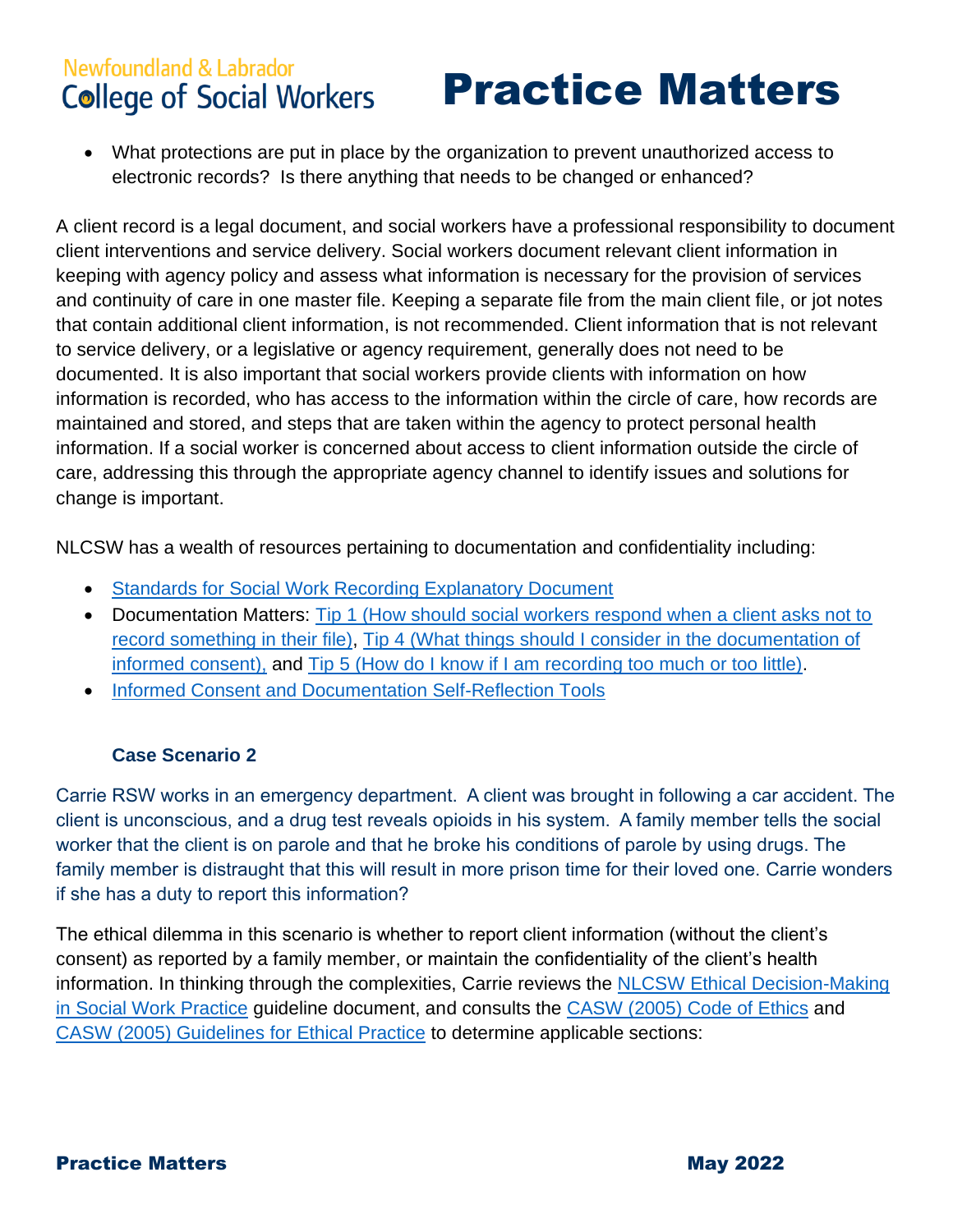#### **Newfoundland & Labrador** Practice Matters **College of Social Workers**

• What protections are put in place by the organization to prevent unauthorized access to electronic records? Is there anything that needs to be changed or enhanced?

A client record is a legal document, and social workers have a professional responsibility to document client interventions and service delivery. Social workers document relevant client information in keeping with agency policy and assess what information is necessary for the provision of services and continuity of care in one master file. Keeping a separate file from the main client file, or jot notes that contain additional client information, is not recommended. Client information that is not relevant to service delivery, or a legislative or agency requirement, generally does not need to be documented. It is also important that social workers provide clients with information on how information is recorded, who has access to the information within the circle of care, how records are maintained and stored, and steps that are taken within the agency to protect personal health information. If a social worker is concerned about access to client information outside the circle of care, addressing this through the appropriate agency channel to identify issues and solutions for change is important.

NLCSW has a wealth of resources pertaining to documentation and confidentiality including:

- [Standards for Social Work Recording Explanatory Document](https://nlcsw.ca/sites/default/files/inline-files/Standards_for_Social_Work_Recording_Explanatory_Document.pdf)
- Documentation Matters: Tip 1 (How should social workers respond when a client asks not to [record something in their file\),](https://nlcsw.ca/sites/default/files/inline-files/Documentation_Matters_Tip_1_0.pdf) [Tip 4 \(What things should I consider in the documentation of](https://nlcsw.ca/sites/default/files/inline-files/Documentation_Matters_Tip_4_0.pdf)  [informed consent\),](https://nlcsw.ca/sites/default/files/inline-files/Documentation_Matters_Tip_4_0.pdf) and Tip [5 \(How do I know if I am recording too much or too little\).](https://nlcsw.ca/sites/default/files/inline-files/Documentation_Matters_Tip_5.pdf)
- [Informed Consent and Documentation Self-Reflection Tools](https://nlcsw.ca/sites/default/files/inline-files/Self-Assessment_Tools_for_Informed_Consent_and_Documentation_Updated_November_2021.pdf)

#### **Case Scenario 2**

Carrie RSW works in an emergency department. A client was brought in following a car accident. The client is unconscious, and a drug test reveals opioids in his system. A family member tells the social worker that the client is on parole and that he broke his conditions of parole by using drugs. The family member is distraught that this will result in more prison time for their loved one. Carrie wonders if she has a duty to report this information?

The ethical dilemma in this scenario is whether to report client information (without the client's consent) as reported by a family member, or maintain the confidentiality of the client's health information. In thinking through the complexities, Carrie reviews the [NLCSW Ethical Decision-Making](https://nlcsw.ca/sites/default/files/inline-files/Ethical_Decision_Making_in_Social_Work_Practice_Updated_August_2021_0.pdf)  [in Social Work Practice](https://nlcsw.ca/sites/default/files/inline-files/Ethical_Decision_Making_in_Social_Work_Practice_Updated_August_2021_0.pdf) guideline document, and consults the [CASW \(2005\) Code of Ethics](https://nlcsw.ca/sites/default/files/inline-files/CASW_Code_of_Ethics_2005.pdf) and [CASW \(2005\) Guidelines for Ethical Practice](https://nlcsw.ca/sites/default/files/inline-files/CASW_Guidelines_for_Ethical_Practice_2005.pdf) to determine applicable sections: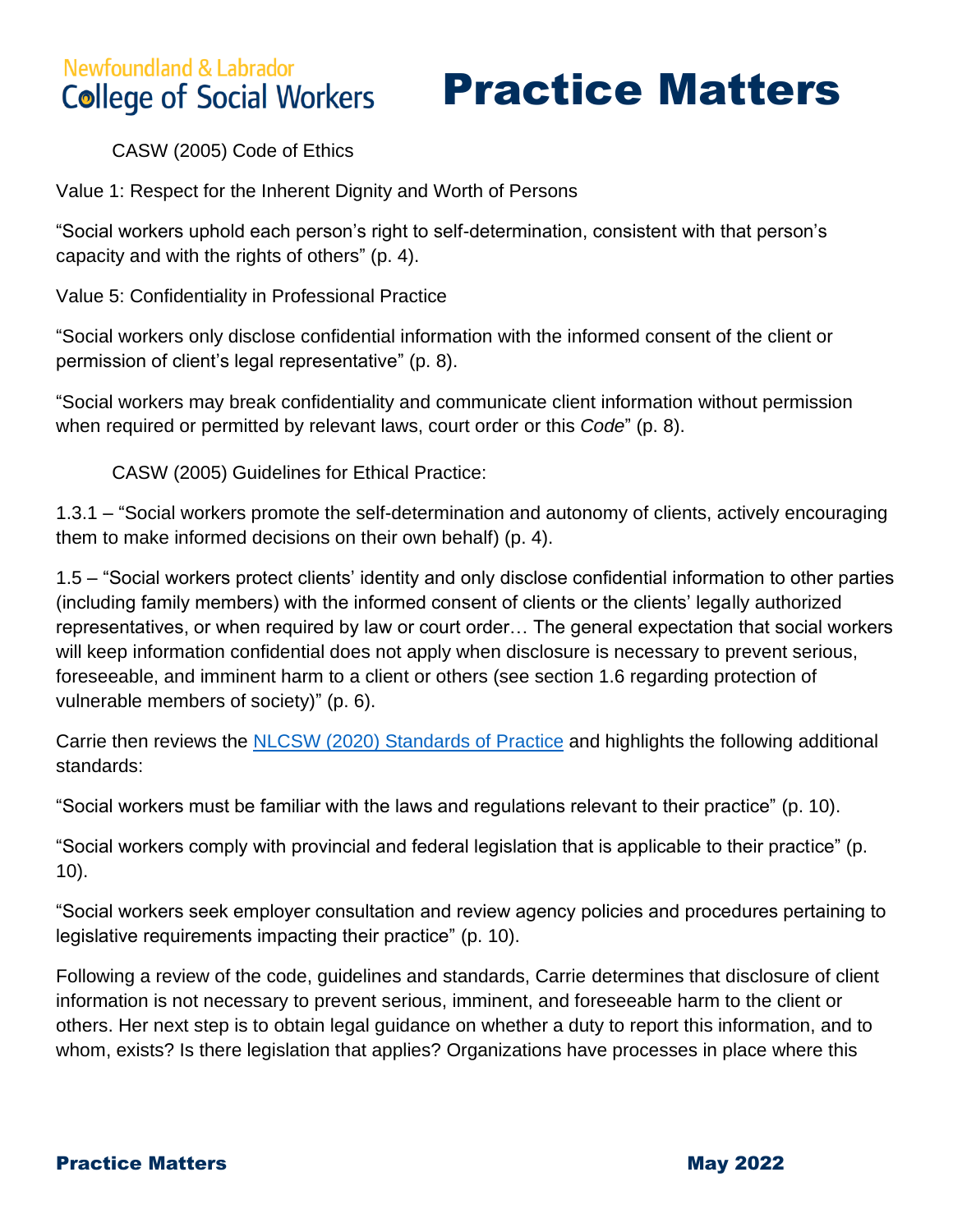# Newfoundland & Labrador

## Practice Matters

CASW (2005) Code of Ethics

Value 1: Respect for the Inherent Dignity and Worth of Persons

"Social workers uphold each person's right to self-determination, consistent with that person's capacity and with the rights of others" (p. 4).

Value 5: Confidentiality in Professional Practice

"Social workers only disclose confidential information with the informed consent of the client or permission of client's legal representative" (p. 8).

"Social workers may break confidentiality and communicate client information without permission when required or permitted by relevant laws, court order or this *Code*" (p. 8).

CASW (2005) Guidelines for Ethical Practice:

1.3.1 – "Social workers promote the self-determination and autonomy of clients, actively encouraging them to make informed decisions on their own behalf) (p. 4).

1.5 – "Social workers protect clients' identity and only disclose confidential information to other parties (including family members) with the informed consent of clients or the clients' legally authorized representatives, or when required by law or court order… The general expectation that social workers will keep information confidential does not apply when disclosure is necessary to prevent serious, foreseeable, and imminent harm to a client or others (see section 1.6 regarding protection of vulnerable members of society)" (p. 6).

Carrie then reviews the [NLCSW \(2020\) Standards of Practice](https://nlcsw.ca/sites/default/files/inline-files/Standards_of_Practice_for_Social_Workers_in_NL.pdf) and highlights the following additional standards:

"Social workers must be familiar with the laws and regulations relevant to their practice" (p. 10).

"Social workers comply with provincial and federal legislation that is applicable to their practice" (p. 10).

"Social workers seek employer consultation and review agency policies and procedures pertaining to legislative requirements impacting their practice" (p. 10).

Following a review of the code, guidelines and standards, Carrie determines that disclosure of client information is not necessary to prevent serious, imminent, and foreseeable harm to the client or others. Her next step is to obtain legal guidance on whether a duty to report this information, and to whom, exists? Is there legislation that applies? Organizations have processes in place where this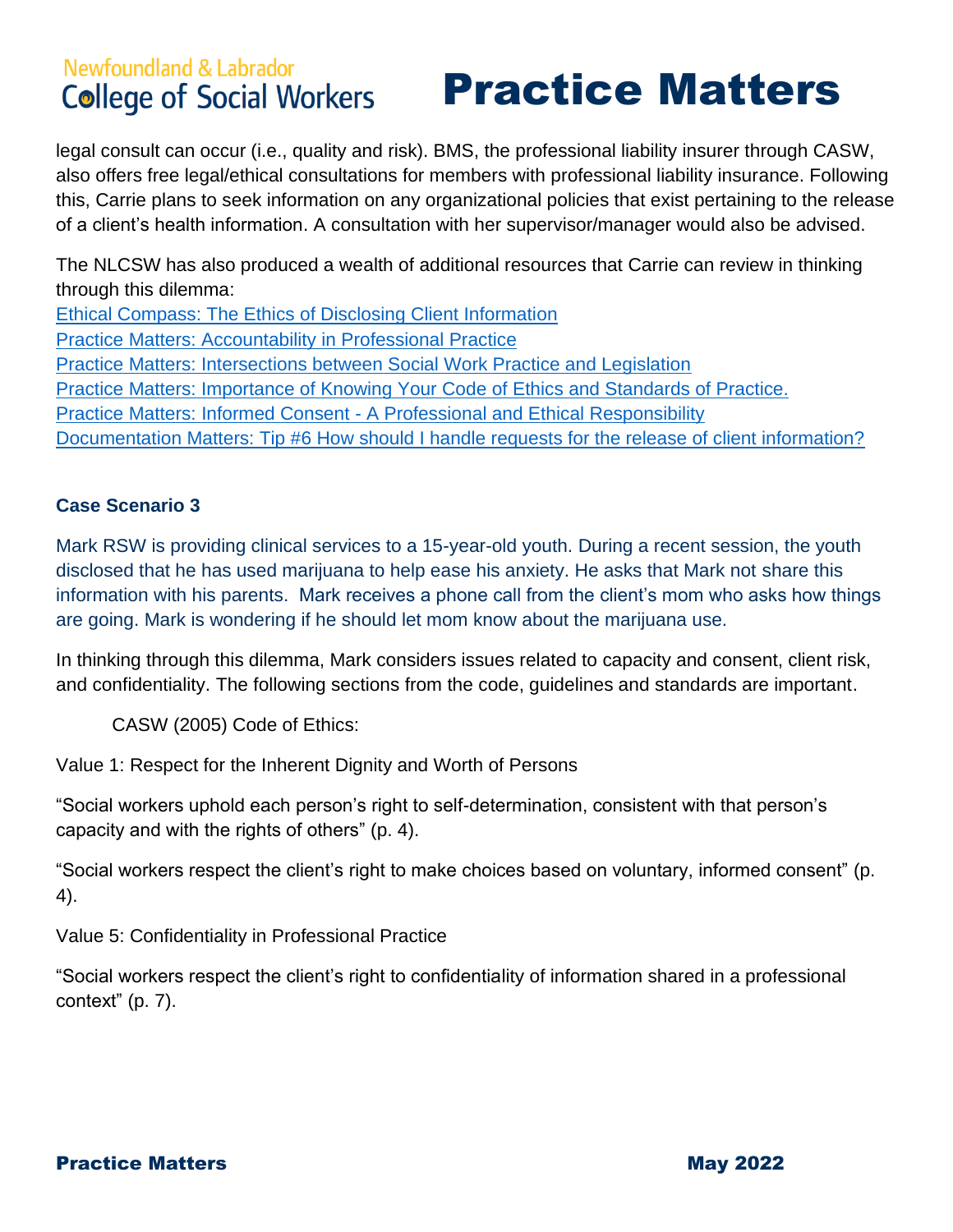## Practice Matters

legal consult can occur (i.e., quality and risk). BMS, the professional liability insurer through CASW, also offers free legal/ethical consultations for members with professional liability insurance. Following this, Carrie plans to seek information on any organizational policies that exist pertaining to the release of a client's health information. A consultation with her supervisor/manager would also be advised.

The NLCSW has also produced a wealth of additional resources that Carrie can review in thinking through this dilemma: [Ethical Compass: The Ethics of Disclosing Client Information](https://nlcsw.ca/sites/default/files/inline-files/Ethical_Compass_Volume_11_September_2020.pdf) [Practice Matters: Accountability in Professional Practice](https://nlcsw.ca/sites/default/files/inline-files/Accountability_in_Professional_Practice.pdf) [Practice Matters: Intersections between Social Work Practice and Legislation](https://nlcsw.ca/sites/default/files/inline-files/Practice%20Matters%20Legislation_0%20%281%29.pdf) [Practice Matters: Importance of Knowing Your Code of Ethics and Standards of Practice.](https://nlcsw.ca/sites/default/files/inline-files/The_Importance_of_Knowing_the_Code_and_Standards_of_Practice.pdf)  Practice Matters: Informed Consent - [A Professional and Ethical Responsibility](https://nlcsw.ca/sites/default/files/inline-files/Informed_Consent.pdf) Documentation [Matters: Tip #6 How should I handle requests for the release of client information?](https://nlcsw.ca/sites/default/files/inline-files/Documentation_Matters_Tip_6.pdf)

#### **Case Scenario 3**

Mark RSW is providing clinical services to a 15-year-old youth. During a recent session, the youth disclosed that he has used marijuana to help ease his anxiety. He asks that Mark not share this information with his parents. Mark receives a phone call from the client's mom who asks how things are going. Mark is wondering if he should let mom know about the marijuana use.

In thinking through this dilemma, Mark considers issues related to capacity and consent, client risk, and confidentiality. The following sections from the code, guidelines and standards are important.

CASW (2005) Code of Ethics:

Value 1: Respect for the Inherent Dignity and Worth of Persons

"Social workers uphold each person's right to self-determination, consistent with that person's capacity and with the rights of others" (p. 4).

"Social workers respect the client's right to make choices based on voluntary, informed consent" (p. 4).

Value 5: Confidentiality in Professional Practice

"Social workers respect the client's right to confidentiality of information shared in a professional context" (p. 7).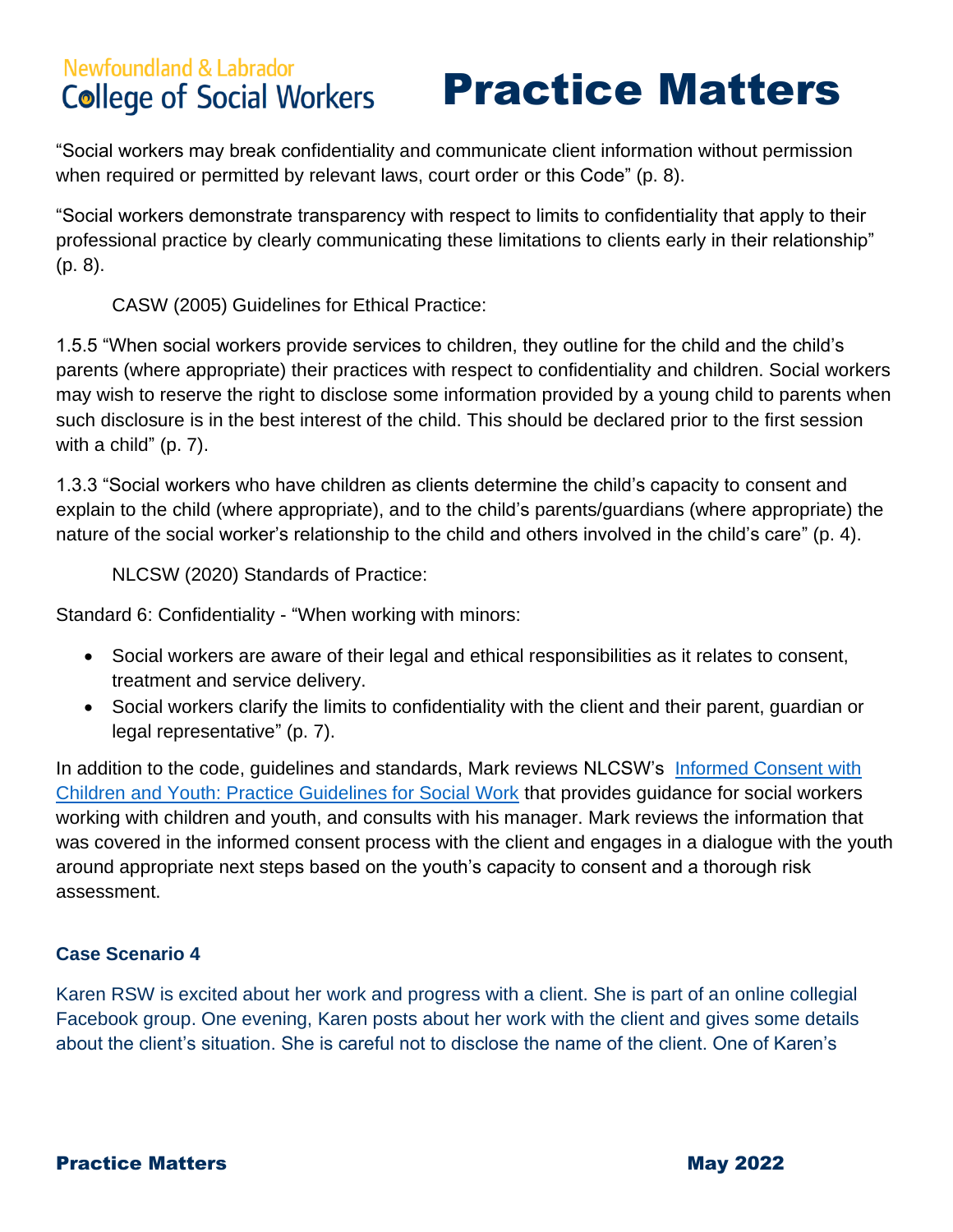Practice Matters

"Social workers may break confidentiality and communicate client information without permission when required or permitted by relevant laws, court order or this Code" (p. 8).

"Social workers demonstrate transparency with respect to limits to confidentiality that apply to their professional practice by clearly communicating these limitations to clients early in their relationship" (p. 8).

CASW (2005) Guidelines for Ethical Practice:

1.5.5 "When social workers provide services to children, they outline for the child and the child's parents (where appropriate) their practices with respect to confidentiality and children. Social workers may wish to reserve the right to disclose some information provided by a young child to parents when such disclosure is in the best interest of the child. This should be declared prior to the first session with a child" (p. 7).

1.3.3 "Social workers who have children as clients determine the child's capacity to consent and explain to the child (where appropriate), and to the child's parents/guardians (where appropriate) the nature of the social worker's relationship to the child and others involved in the child's care" (p. 4).

NLCSW (2020) Standards of Practice:

Standard 6: Confidentiality - "When working with minors:

- Social workers are aware of their legal and ethical responsibilities as it relates to consent, treatment and service delivery.
- Social workers clarify the limits to confidentiality with the client and their parent, guardian or legal representative" (p. 7).

In addition to the code, guidelines and standards, Mark reviews NLCSW's Informed Consent with Children [and Youth: Practice Guidelines for Social Work](https://nlcsw.ca/sites/default/files/inline-files/Informed_Consent_with_Children_and_Youth_Updated_November_2021.pdf) that provides guidance for social workers working with children and youth, and consults with his manager. Mark reviews the information that was covered in the informed consent process with the client and engages in a dialogue with the youth around appropriate next steps based on the youth's capacity to consent and a thorough risk assessment.

#### **Case Scenario 4**

Karen RSW is excited about her work and progress with a client. She is part of an online collegial Facebook group. One evening, Karen posts about her work with the client and gives some details about the client's situation. She is careful not to disclose the name of the client. One of Karen's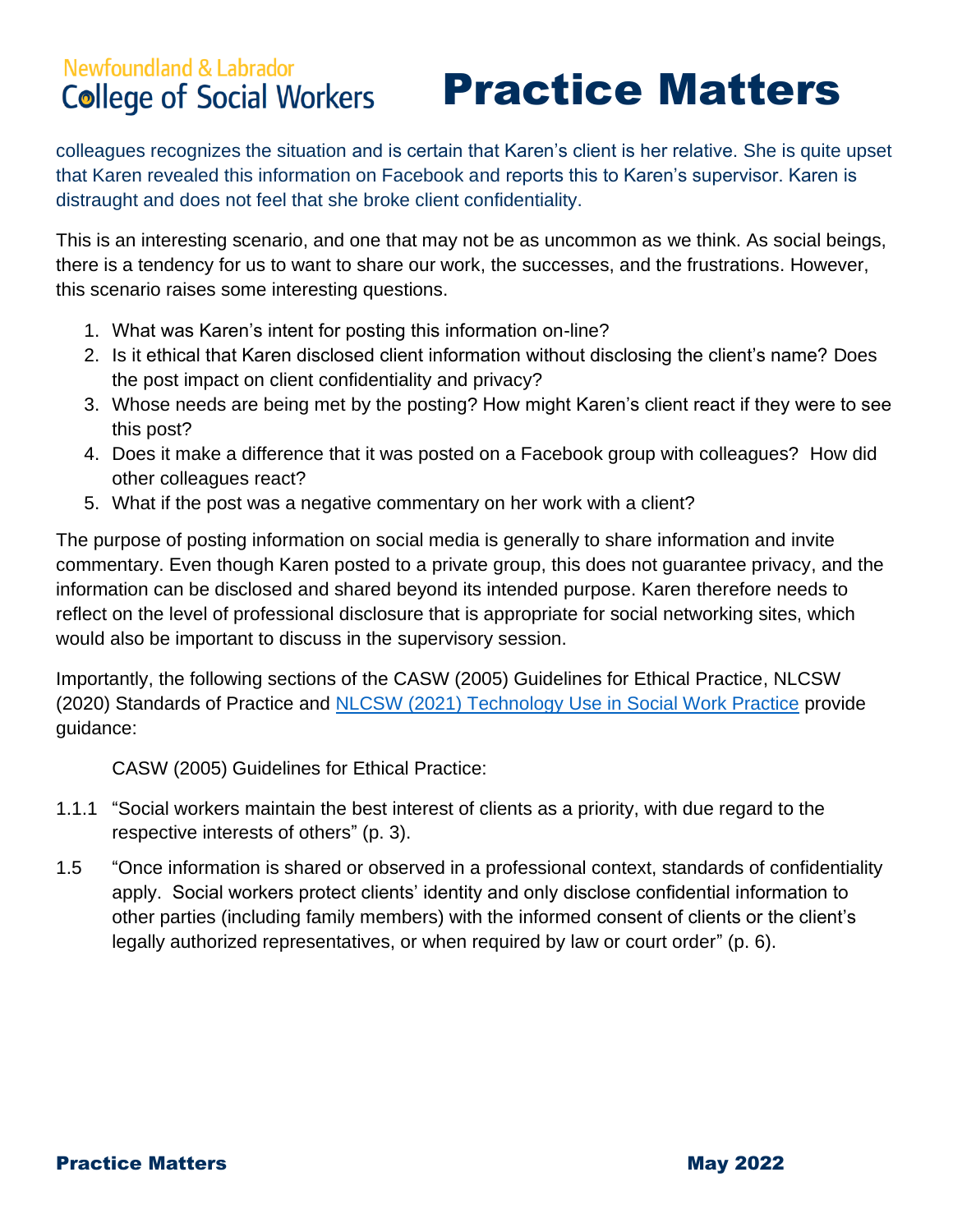## Practice Matters

colleagues recognizes the situation and is certain that Karen's client is her relative. She is quite upset that Karen revealed this information on Facebook and reports this to Karen's supervisor. Karen is distraught and does not feel that she broke client confidentiality.

This is an interesting scenario, and one that may not be as uncommon as we think. As social beings, there is a tendency for us to want to share our work, the successes, and the frustrations. However, this scenario raises some interesting questions.

- 1. What was Karen's intent for posting this information on-line?
- 2. Is it ethical that Karen disclosed client information without disclosing the client's name? Does the post impact on client confidentiality and privacy?
- 3. Whose needs are being met by the posting? How might Karen's client react if they were to see this post?
- 4. Does it make a difference that it was posted on a Facebook group with colleagues? How did other colleagues react?
- 5. What if the post was a negative commentary on her work with a client?

The purpose of posting information on social media is generally to share information and invite commentary. Even though Karen posted to a private group, this does not guarantee privacy, and the information can be disclosed and shared beyond its intended purpose. Karen therefore needs to reflect on the level of professional disclosure that is appropriate for social networking sites, which would also be important to discuss in the supervisory session.

Importantly, the following sections of the CASW (2005) Guidelines for Ethical Practice, NLCSW (2020) Standards of Practice and [NLCSW \(2021\) Technology Use in Social Work Practice](https://nlcsw.ca/sites/default/files/inline-files/Technology_Use_in_Social_Work_Practice_Explanatory_Document_Revised_2021_1.pdf) provide guidance:

CASW (2005) Guidelines for Ethical Practice:

- 1.1.1 "Social workers maintain the best interest of clients as a priority, with due regard to the respective interests of others" (p. 3).
- 1.5 "Once information is shared or observed in a professional context, standards of confidentiality apply. Social workers protect clients' identity and only disclose confidential information to other parties (including family members) with the informed consent of clients or the client's legally authorized representatives, or when required by law or court order" (p. 6).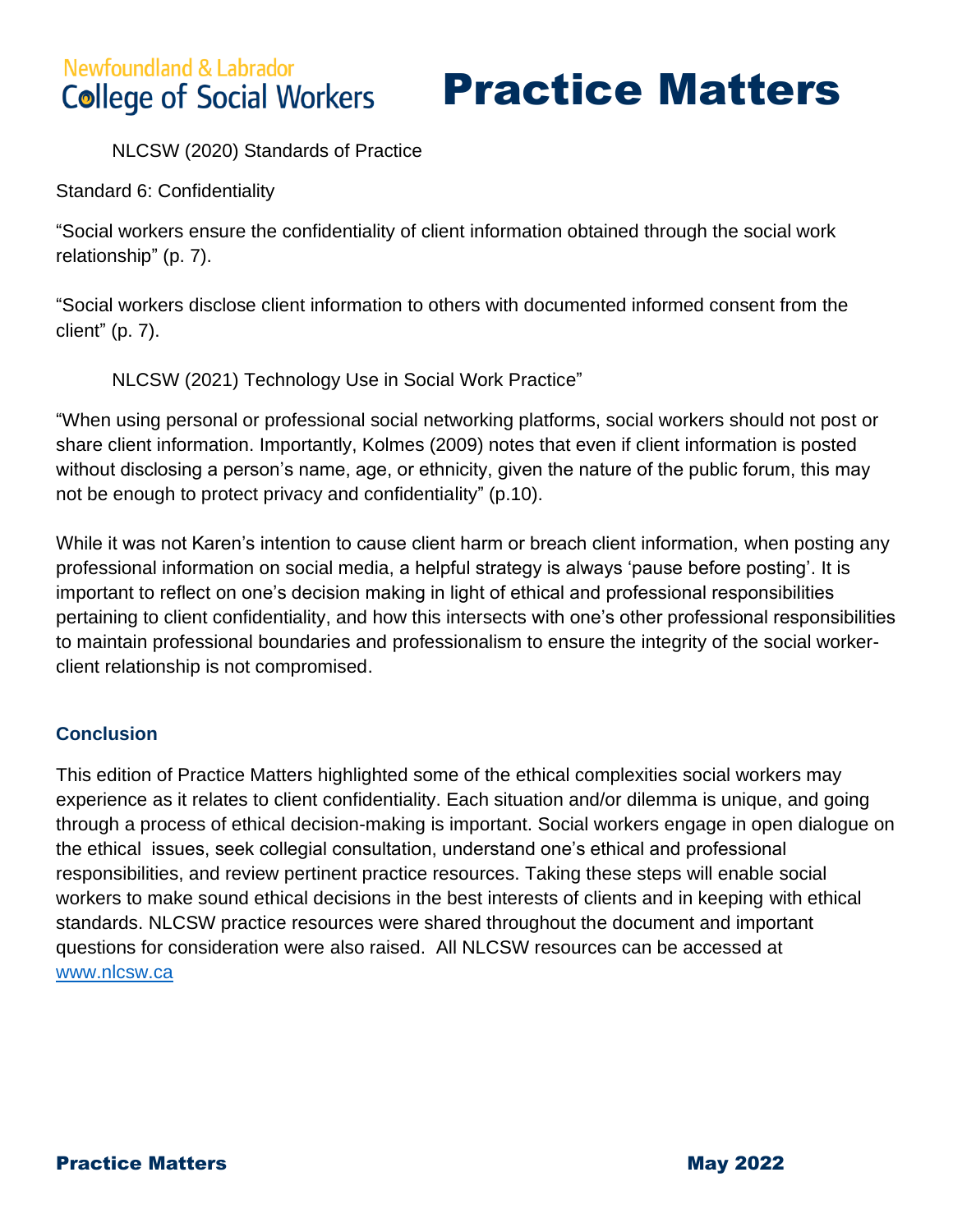Practice Matters

NLCSW (2020) Standards of Practice

Standard 6: Confidentiality

"Social workers ensure the confidentiality of client information obtained through the social work relationship" (p. 7).

"Social workers disclose client information to others with documented informed consent from the client" (p. 7).

NLCSW (2021) Technology Use in Social Work Practice"

"When using personal or professional social networking platforms, social workers should not post or share client information. Importantly, Kolmes (2009) notes that even if client information is posted without disclosing a person's name, age, or ethnicity, given the nature of the public forum, this may not be enough to protect privacy and confidentiality" (p.10).

While it was not Karen's intention to cause client harm or breach client information, when posting any professional information on social media, a helpful strategy is always 'pause before posting'. It is important to reflect on one's decision making in light of ethical and professional responsibilities pertaining to client confidentiality, and how this intersects with one's other professional responsibilities to maintain professional boundaries and professionalism to ensure the integrity of the social workerclient relationship is not compromised.

#### **Conclusion**

This edition of Practice Matters highlighted some of the ethical complexities social workers may experience as it relates to client confidentiality. Each situation and/or dilemma is unique, and going through a process of ethical decision-making is important. Social workers engage in open dialogue on the ethical issues, seek collegial consultation, understand one's ethical and professional responsibilities, and review pertinent practice resources. Taking these steps will enable social workers to make sound ethical decisions in the best interests of clients and in keeping with ethical standards. NLCSW practice resources were shared throughout the document and important questions for consideration were also raised. All NLCSW resources can be accessed at [www.nlcsw.ca](http://www.nlcsw.ca/)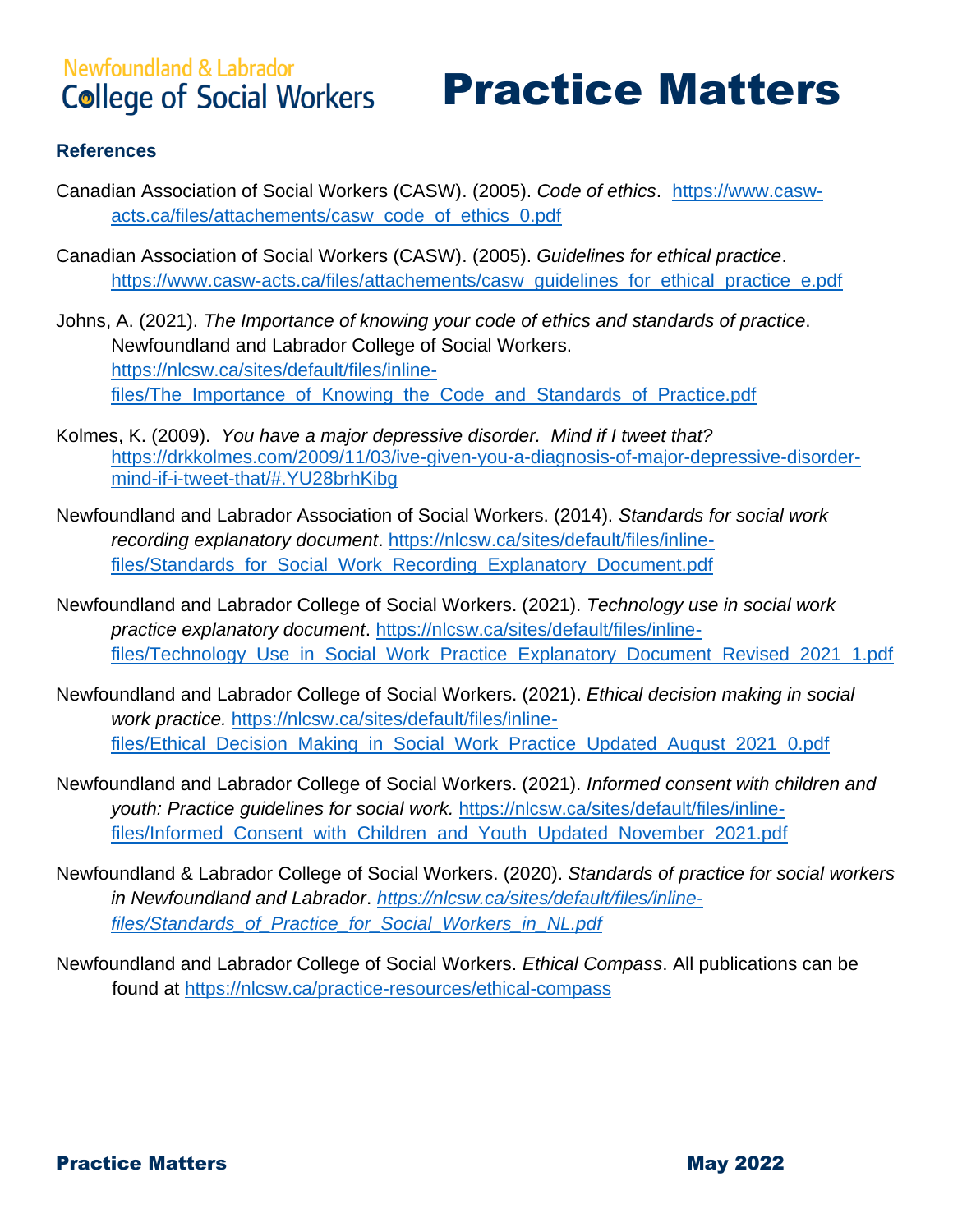## Practice Matters

#### **References**

- Canadian Association of Social Workers (CASW). (2005). *Code of ethics*. [https://www.casw](https://www.casw-acts.ca/files/attachements/casw_code_of_ethics_0.pdf)[acts.ca/files/attachements/casw\\_code\\_of\\_ethics\\_0.pdf](https://www.casw-acts.ca/files/attachements/casw_code_of_ethics_0.pdf)
- Canadian Association of Social Workers (CASW). (2005). *Guidelines for ethical practice*. [https://www.casw-acts.ca/files/attachements/casw\\_guidelines\\_for\\_ethical\\_practice\\_e.pdf](https://www.casw-acts.ca/files/attachements/casw_guidelines_for_ethical_practice_e.pdf)
- Johns, A. (2021). *The Importance of knowing your code of ethics and standards of practice*. Newfoundland and Labrador College of Social Workers. [https://nlcsw.ca/sites/default/files/inline](https://nlcsw.ca/sites/default/files/inline-files/The_Importance_of_Knowing_the_Code_and_Standards_of_Practice.pdf)files/The Importance of Knowing the Code and Standards of Practice.pdf
- Kolmes, K. (2009). *You have a major depressive disorder. Mind if I tweet that?* [https://drkkolmes.com/2009/11/03/ive-given-you-a-diagnosis-of-major-depressive-disorder](https://drkkolmes.com/2009/11/03/ive-given-you-a-diagnosis-of-major-depressive-disorder-mind-if-i-tweet-that/#.YU28brhKibg)[mind-if-i-tweet-that/#.YU28brhKibg](https://drkkolmes.com/2009/11/03/ive-given-you-a-diagnosis-of-major-depressive-disorder-mind-if-i-tweet-that/#.YU28brhKibg)
- Newfoundland and Labrador Association of Social Workers. (2014). *Standards for social work recording explanatory document*. [https://nlcsw.ca/sites/default/files/inline](https://nlcsw.ca/sites/default/files/inline-files/Standards_for_Social_Work_Recording_Explanatory_Document.pdf)[files/Standards\\_for\\_Social\\_Work\\_Recording\\_Explanatory\\_Document.pdf](https://nlcsw.ca/sites/default/files/inline-files/Standards_for_Social_Work_Recording_Explanatory_Document.pdf)
- Newfoundland and Labrador College of Social Workers. (2021). *Technology use in social work practice explanatory document*. [https://nlcsw.ca/sites/default/files/inline](https://nlcsw.ca/sites/default/files/inline-files/Technology_Use_in_Social_Work_Practice_Explanatory_Document_Revised_2021_1.pdf)[files/Technology\\_Use\\_in\\_Social\\_Work\\_Practice\\_Explanatory\\_Document\\_Revised\\_2021\\_1.pdf](https://nlcsw.ca/sites/default/files/inline-files/Technology_Use_in_Social_Work_Practice_Explanatory_Document_Revised_2021_1.pdf)
- Newfoundland and Labrador College of Social Workers. (2021). *Ethical decision making in social work practice.* [https://nlcsw.ca/sites/default/files/inline](https://nlcsw.ca/sites/default/files/inline-files/Ethical_Decision_Making_in_Social_Work_Practice_Updated_August_2021_0.pdf)[files/Ethical\\_Decision\\_Making\\_in\\_Social\\_Work\\_Practice\\_Updated\\_August\\_2021\\_0.pdf](https://nlcsw.ca/sites/default/files/inline-files/Ethical_Decision_Making_in_Social_Work_Practice_Updated_August_2021_0.pdf)
- Newfoundland and Labrador College of Social Workers. (2021). *Informed consent with children and youth: Practice guidelines for social work.* [https://nlcsw.ca/sites/default/files/inline](https://nlcsw.ca/sites/default/files/inline-files/Informed_Consent_with_Children_and_Youth_Updated_November_2021.pdf)files/Informed Consent with Children and Youth Updated November 2021.pdf
- Newfoundland & Labrador College of Social Workers. (2020). *Standards of practice for social workers in Newfoundland and Labrador*. *[https://nlcsw.ca/sites/default/files/inline](https://nlcsw.ca/sites/default/files/inline-files/Standards_of_Practice_for_Social_Workers_in_NL.pdf)[files/Standards\\_of\\_Practice\\_for\\_Social\\_Workers\\_in\\_NL.pdf](https://nlcsw.ca/sites/default/files/inline-files/Standards_of_Practice_for_Social_Workers_in_NL.pdf)*
- Newfoundland and Labrador College of Social Workers. *Ethical Compass*. All publications can be found at<https://nlcsw.ca/practice-resources/ethical-compass>